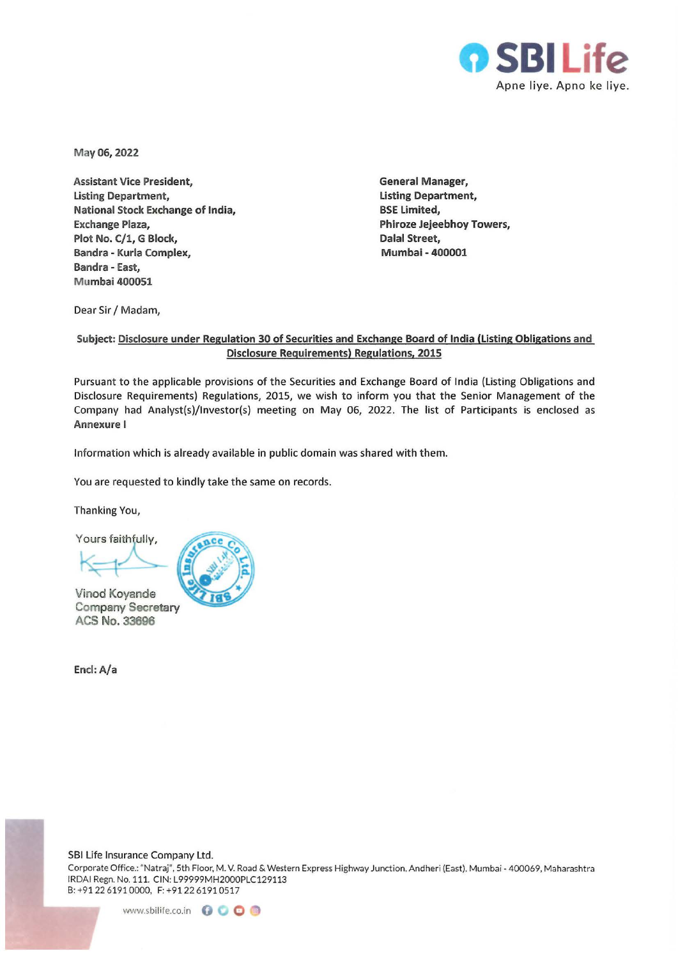

May06, 2022

Assistant Vice President, Listing Department, National Stock Exchange of India, Exchange Plaza, Plot No. C/1, G Block, Bandra - Kurla Complex, Bandra - East, Mumbai 400051

General Manager, Listing Department, BSE Limited, Phiroze Jejeebhoy Towers, Dalal Street, Mumbai - 400001

Dear Sir / Madam,

## Subject: Disclosure under Regulation 30 of Securities and Exchange Board of India (Listing Obligations and Disclosure Requirements) Regulations, 2015

Pursuant to the applicable provisions of the Securities and Exchange Board of India (Listing Obligations and Disclosure Requirements) Regulations, 2015, we wish to inform you that the Senior Management of the Company had Analyst(s)/lnvestor(s) meeting on May 06, 2022. The list of Participants is enclosed as Annexure I

Information which is already available in public domain was shared with them.

You are requested to kindly take the same on records.

Thanking You,

Yours faithfully,

Vinod Koyande Company Secretary ACS No. 33696

Encl: A/a

SBI Life Insurance Company Ltd.

Corporate Office.: "Natraj'', 5th Floor, M. V. Road & Western Express Highway Junction. Andheri (East). Mumbai - 400069, Maharashtra IRDAI Regn. No. 111. CIN: L99999MH2000PLC129113 8: +912261910000, F:+91 226191 0517